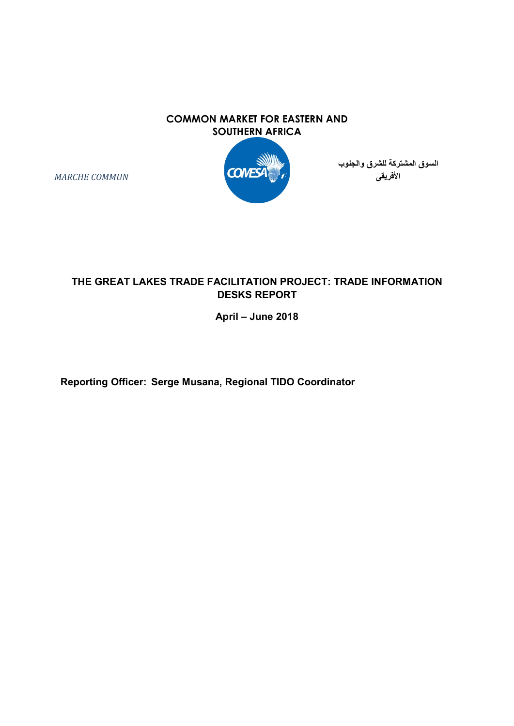#### COMMON MARKET FOR EASTERN AND SOUTHERN AFRICA



السوق المشتركة للشرق والجنوب الأفريقى

THE GREAT LAKES TRADE FACILITATION PROJECT: TRADE INFORMATION

April – June 2018

DESKS REPORT

Reporting Officer: Serge Musana, Regional TIDO Coordinator

MARCHE COMMUN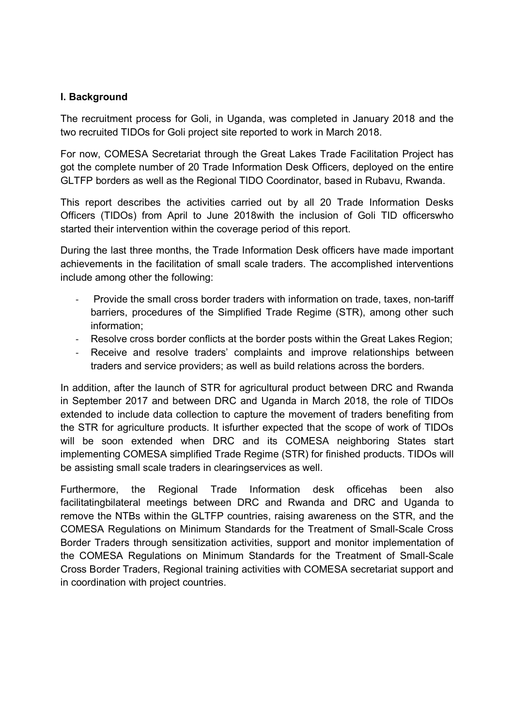### I. Background

The recruitment process for Goli, in Uganda, was completed in January 2018 and the two recruited TIDOs for Goli project site reported to work in March 2018.

For now, COMESA Secretariat through the Great Lakes Trade Facilitation Project has got the complete number of 20 Trade Information Desk Officers, deployed on the entire GLTFP borders as well as the Regional TIDO Coordinator, based in Rubavu, Rwanda.

This report describes the activities carried out by all 20 Trade Information Desks Officers (TIDOs) from April to June 2018with the inclusion of Goli TID officerswho started their intervention within the coverage period of this report.

During the last three months, the Trade Information Desk officers have made important achievements in the facilitation of small scale traders. The accomplished interventions include among other the following:

- Provide the small cross border traders with information on trade, taxes, non-tariff barriers, procedures of the Simplified Trade Regime (STR), among other such information;
- Resolve cross border conflicts at the border posts within the Great Lakes Region;
- Receive and resolve traders' complaints and improve relationships between traders and service providers; as well as build relations across the borders.

In addition, after the launch of STR for agricultural product between DRC and Rwanda in September 2017 and between DRC and Uganda in March 2018, the role of TIDOs extended to include data collection to capture the movement of traders benefiting from the STR for agriculture products. It isfurther expected that the scope of work of TIDOs will be soon extended when DRC and its COMESA neighboring States start implementing COMESA simplified Trade Regime (STR) for finished products. TIDOs will be assisting small scale traders in clearingservices as well.

Furthermore, the Regional Trade Information desk officehas been also facilitatingbilateral meetings between DRC and Rwanda and DRC and Uganda to remove the NTBs within the GLTFP countries, raising awareness on the STR, and the COMESA Regulations on Minimum Standards for the Treatment of Small-Scale Cross Border Traders through sensitization activities, support and monitor implementation of the COMESA Regulations on Minimum Standards for the Treatment of Small-Scale Cross Border Traders, Regional training activities with COMESA secretariat support and in coordination with project countries.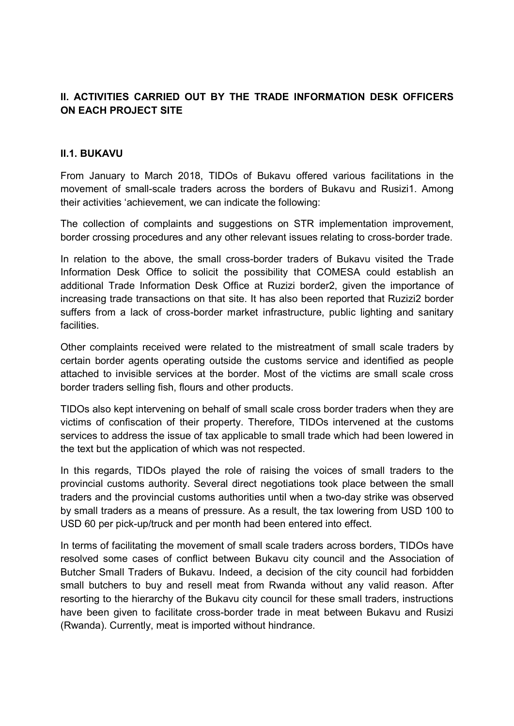# II. ACTIVITIES CARRIED OUT BY THE TRADE INFORMATION DESK OFFICERS ON EACH PROJECT SITE

#### II.1. BUKAVU

From January to March 2018, TIDOs of Bukavu offered various facilitations in the movement of small-scale traders across the borders of Bukavu and Rusizi1. Among their activities 'achievement, we can indicate the following:

The collection of complaints and suggestions on STR implementation improvement, border crossing procedures and any other relevant issues relating to cross-border trade.

In relation to the above, the small cross-border traders of Bukavu visited the Trade Information Desk Office to solicit the possibility that COMESA could establish an additional Trade Information Desk Office at Ruzizi border2, given the importance of increasing trade transactions on that site. It has also been reported that Ruzizi2 border suffers from a lack of cross-border market infrastructure, public lighting and sanitary **facilities** 

Other complaints received were related to the mistreatment of small scale traders by certain border agents operating outside the customs service and identified as people attached to invisible services at the border. Most of the victims are small scale cross border traders selling fish, flours and other products.

TIDOs also kept intervening on behalf of small scale cross border traders when they are victims of confiscation of their property. Therefore, TIDOs intervened at the customs services to address the issue of tax applicable to small trade which had been lowered in the text but the application of which was not respected.

In this regards, TIDOs played the role of raising the voices of small traders to the provincial customs authority. Several direct negotiations took place between the small traders and the provincial customs authorities until when a two-day strike was observed by small traders as a means of pressure. As a result, the tax lowering from USD 100 to USD 60 per pick-up/truck and per month had been entered into effect.

In terms of facilitating the movement of small scale traders across borders, TIDOs have resolved some cases of conflict between Bukavu city council and the Association of Butcher Small Traders of Bukavu. Indeed, a decision of the city council had forbidden small butchers to buy and resell meat from Rwanda without any valid reason. After resorting to the hierarchy of the Bukavu city council for these small traders, instructions have been given to facilitate cross-border trade in meat between Bukavu and Rusizi (Rwanda). Currently, meat is imported without hindrance.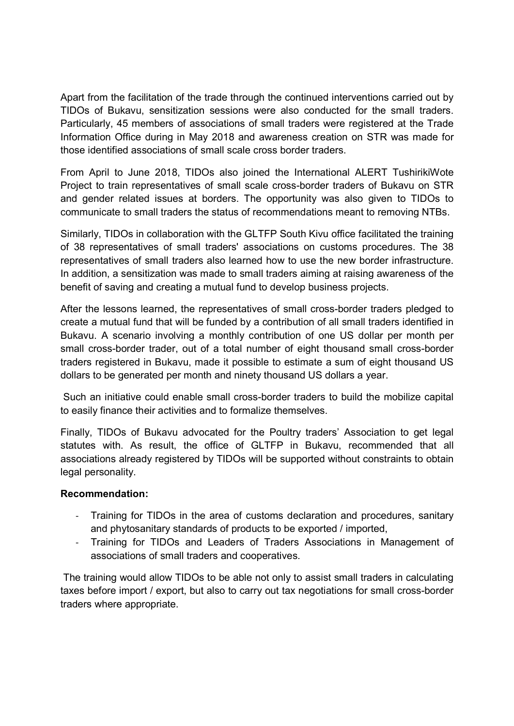Apart from the facilitation of the trade through the continued interventions carried out by TIDOs of Bukavu, sensitization sessions were also conducted for the small traders. Particularly, 45 members of associations of small traders were registered at the Trade Information Office during in May 2018 and awareness creation on STR was made for those identified associations of small scale cross border traders.

From April to June 2018, TIDOs also joined the International ALERT TushirikiWote Project to train representatives of small scale cross-border traders of Bukavu on STR and gender related issues at borders. The opportunity was also given to TIDOs to communicate to small traders the status of recommendations meant to removing NTBs.

Similarly, TIDOs in collaboration with the GLTFP South Kivu office facilitated the training of 38 representatives of small traders' associations on customs procedures. The 38 representatives of small traders also learned how to use the new border infrastructure. In addition, a sensitization was made to small traders aiming at raising awareness of the benefit of saving and creating a mutual fund to develop business projects.

After the lessons learned, the representatives of small cross-border traders pledged to create a mutual fund that will be funded by a contribution of all small traders identified in Bukavu. A scenario involving a monthly contribution of one US dollar per month per small cross-border trader, out of a total number of eight thousand small cross-border traders registered in Bukavu, made it possible to estimate a sum of eight thousand US dollars to be generated per month and ninety thousand US dollars a year.

 Such an initiative could enable small cross-border traders to build the mobilize capital to easily finance their activities and to formalize themselves.

Finally, TIDOs of Bukavu advocated for the Poultry traders' Association to get legal statutes with. As result, the office of GLTFP in Bukavu, recommended that all associations already registered by TIDOs will be supported without constraints to obtain legal personality.

# Recommendation:

- Training for TIDOs in the area of customs declaration and procedures, sanitary and phytosanitary standards of products to be exported / imported,
- Training for TIDOs and Leaders of Traders Associations in Management of associations of small traders and cooperatives.

 The training would allow TIDOs to be able not only to assist small traders in calculating taxes before import / export, but also to carry out tax negotiations for small cross-border traders where appropriate.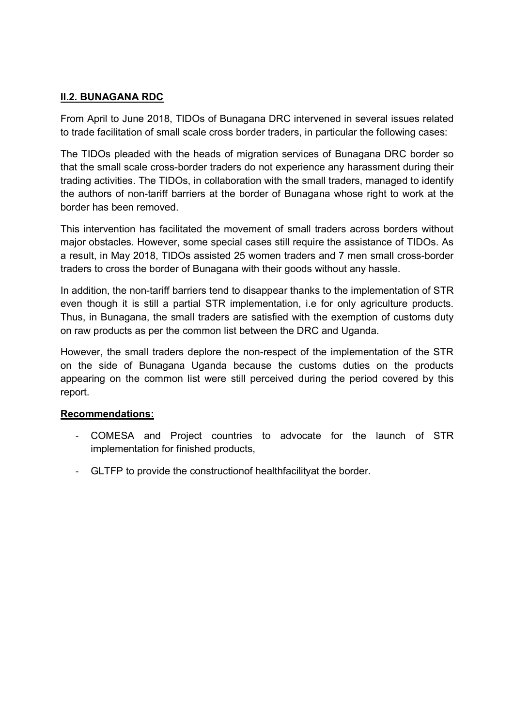### II.2. BUNAGANA RDC

From April to June 2018, TIDOs of Bunagana DRC intervened in several issues related to trade facilitation of small scale cross border traders, in particular the following cases:

The TIDOs pleaded with the heads of migration services of Bunagana DRC border so that the small scale cross-border traders do not experience any harassment during their trading activities. The TIDOs, in collaboration with the small traders, managed to identify the authors of non-tariff barriers at the border of Bunagana whose right to work at the border has been removed.

This intervention has facilitated the movement of small traders across borders without major obstacles. However, some special cases still require the assistance of TIDOs. As a result, in May 2018, TIDOs assisted 25 women traders and 7 men small cross-border traders to cross the border of Bunagana with their goods without any hassle.

In addition, the non-tariff barriers tend to disappear thanks to the implementation of STR even though it is still a partial STR implementation, i.e for only agriculture products. Thus, in Bunagana, the small traders are satisfied with the exemption of customs duty on raw products as per the common list between the DRC and Uganda.

However, the small traders deplore the non-respect of the implementation of the STR on the side of Bunagana Uganda because the customs duties on the products appearing on the common list were still perceived during the period covered by this report.

#### Recommendations:

- COMESA and Project countries to advocate for the launch of STR implementation for finished products,
- GLTFP to provide the constructionof healthfacilityat the border.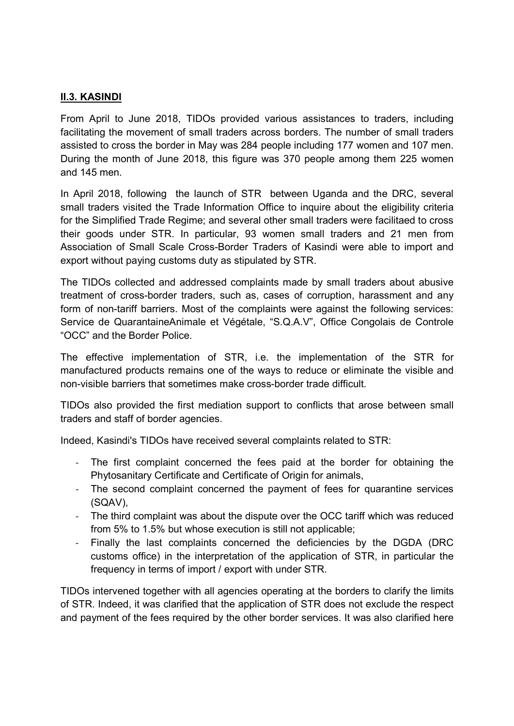### <u>II.3. KASINDI</u>

From April to June 2018, TIDOs provided various assistances to traders, including facilitating the movement of small traders across borders. The number of small traders assisted to cross the border in May was 284 people including 177 women and 107 men. During the month of June 2018, this figure was 370 people among them 225 women and 145 men.

In April 2018, following the launch of STR between Uganda and the DRC, several small traders visited the Trade Information Office to inquire about the eligibility criteria for the Simplified Trade Regime; and several other small traders were facilitaed to cross their goods under STR. In particular, 93 women small traders and 21 men from Association of Small Scale Cross-Border Traders of Kasindi were able to import and export without paying customs duty as stipulated by STR.

The TIDOs collected and addressed complaints made by small traders about abusive treatment of cross-border traders, such as, cases of corruption, harassment and any form of non-tariff barriers. Most of the complaints were against the following services: Service de QuarantaineAnimale et Végétale, "S.Q.A.V", Office Congolais de Controle "OCC" and the Border Police.

The effective implementation of STR, i.e. the implementation of the STR for manufactured products remains one of the ways to reduce or eliminate the visible and non-visible barriers that sometimes make cross-border trade difficult.

TIDOs also provided the first mediation support to conflicts that arose between small traders and staff of border agencies.

Indeed, Kasindi's TIDOs have received several complaints related to STR:

- The first complaint concerned the fees paid at the border for obtaining the Phytosanitary Certificate and Certificate of Origin for animals,
- The second complaint concerned the payment of fees for quarantine services (SQAV),
- The third complaint was about the dispute over the OCC tariff which was reduced from 5% to 1.5% but whose execution is still not applicable;
- Finally the last complaints concerned the deficiencies by the DGDA (DRC customs office) in the interpretation of the application of STR, in particular the frequency in terms of import / export with under STR.

TIDOs intervened together with all agencies operating at the borders to clarify the limits of STR. Indeed, it was clarified that the application of STR does not exclude the respect and payment of the fees required by the other border services. It was also clarified here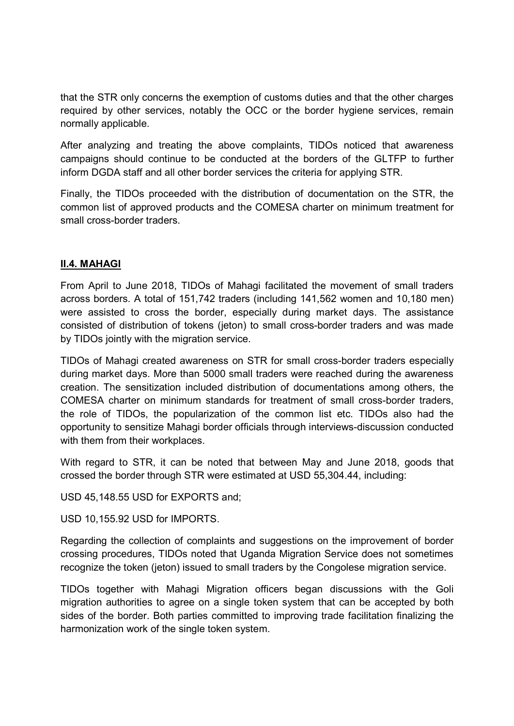that the STR only concerns the exemption of customs duties and that the other charges required by other services, notably the OCC or the border hygiene services, remain normally applicable.

After analyzing and treating the above complaints, TIDOs noticed that awareness campaigns should continue to be conducted at the borders of the GLTFP to further inform DGDA staff and all other border services the criteria for applying STR.

Finally, the TIDOs proceeded with the distribution of documentation on the STR, the common list of approved products and the COMESA charter on minimum treatment for small cross-border traders.

# II.4. MAHAGI

From April to June 2018, TIDOs of Mahagi facilitated the movement of small traders across borders. A total of 151,742 traders (including 141,562 women and 10,180 men) were assisted to cross the border, especially during market days. The assistance consisted of distribution of tokens (jeton) to small cross-border traders and was made by TIDOs jointly with the migration service.

TIDOs of Mahagi created awareness on STR for small cross-border traders especially during market days. More than 5000 small traders were reached during the awareness creation. The sensitization included distribution of documentations among others, the COMESA charter on minimum standards for treatment of small cross-border traders, the role of TIDOs, the popularization of the common list etc. TIDOs also had the opportunity to sensitize Mahagi border officials through interviews-discussion conducted with them from their workplaces.

With regard to STR, it can be noted that between May and June 2018, goods that crossed the border through STR were estimated at USD 55,304.44, including:

USD 45,148.55 USD for EXPORTS and;

USD 10,155.92 USD for IMPORTS.

Regarding the collection of complaints and suggestions on the improvement of border crossing procedures, TIDOs noted that Uganda Migration Service does not sometimes recognize the token (jeton) issued to small traders by the Congolese migration service.

TIDOs together with Mahagi Migration officers began discussions with the Goli migration authorities to agree on a single token system that can be accepted by both sides of the border. Both parties committed to improving trade facilitation finalizing the harmonization work of the single token system.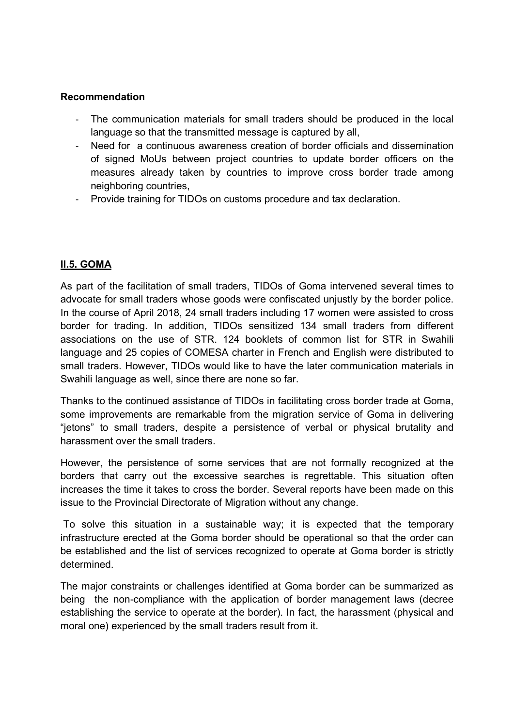#### Recommendation

- The communication materials for small traders should be produced in the local language so that the transmitted message is captured by all,
- Need for a continuous awareness creation of border officials and dissemination of signed MoUs between project countries to update border officers on the measures already taken by countries to improve cross border trade among neighboring countries,
- Provide training for TIDOs on customs procedure and tax declaration.

# II.5. GOMA

As part of the facilitation of small traders, TIDOs of Goma intervened several times to advocate for small traders whose goods were confiscated unjustly by the border police. In the course of April 2018, 24 small traders including 17 women were assisted to cross border for trading. In addition, TIDOs sensitized 134 small traders from different associations on the use of STR. 124 booklets of common list for STR in Swahili language and 25 copies of COMESA charter in French and English were distributed to small traders. However, TIDOs would like to have the later communication materials in Swahili language as well, since there are none so far.

Thanks to the continued assistance of TIDOs in facilitating cross border trade at Goma, some improvements are remarkable from the migration service of Goma in delivering "jetons" to small traders, despite a persistence of verbal or physical brutality and harassment over the small traders.

However, the persistence of some services that are not formally recognized at the borders that carry out the excessive searches is regrettable. This situation often increases the time it takes to cross the border. Several reports have been made on this issue to the Provincial Directorate of Migration without any change.

 To solve this situation in a sustainable way; it is expected that the temporary infrastructure erected at the Goma border should be operational so that the order can be established and the list of services recognized to operate at Goma border is strictly determined.

The major constraints or challenges identified at Goma border can be summarized as being the non-compliance with the application of border management laws (decree establishing the service to operate at the border). In fact, the harassment (physical and moral one) experienced by the small traders result from it.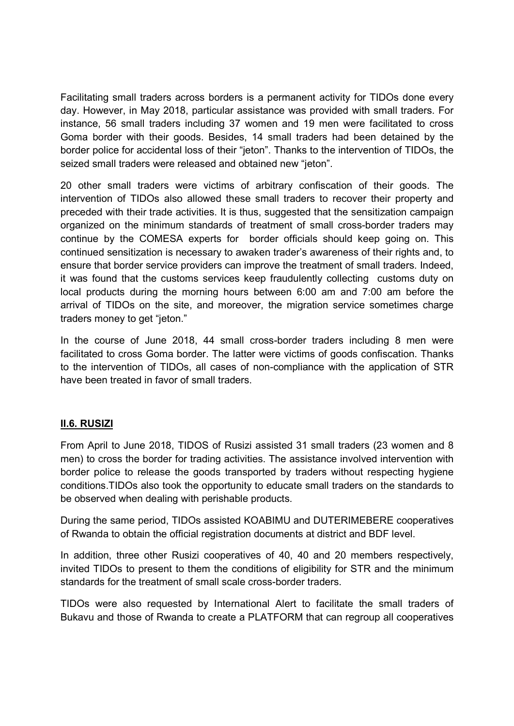Facilitating small traders across borders is a permanent activity for TIDOs done every day. However, in May 2018, particular assistance was provided with small traders. For instance, 56 small traders including 37 women and 19 men were facilitated to cross Goma border with their goods. Besides, 14 small traders had been detained by the border police for accidental loss of their "jeton". Thanks to the intervention of TIDOs, the seized small traders were released and obtained new "jeton".

20 other small traders were victims of arbitrary confiscation of their goods. The intervention of TIDOs also allowed these small traders to recover their property and preceded with their trade activities. It is thus, suggested that the sensitization campaign organized on the minimum standards of treatment of small cross-border traders may continue by the COMESA experts for border officials should keep going on. This continued sensitization is necessary to awaken trader's awareness of their rights and, to ensure that border service providers can improve the treatment of small traders. Indeed, it was found that the customs services keep fraudulently collecting customs duty on local products during the morning hours between 6:00 am and 7:00 am before the arrival of TIDOs on the site, and moreover, the migration service sometimes charge traders money to get "jeton."

In the course of June 2018, 44 small cross-border traders including 8 men were facilitated to cross Goma border. The latter were victims of goods confiscation. Thanks to the intervention of TIDOs, all cases of non-compliance with the application of STR have been treated in favor of small traders.

# II.6. RUSIZI

From April to June 2018, TIDOS of Rusizi assisted 31 small traders (23 women and 8 men) to cross the border for trading activities. The assistance involved intervention with border police to release the goods transported by traders without respecting hygiene conditions.TIDOs also took the opportunity to educate small traders on the standards to be observed when dealing with perishable products.

During the same period, TIDOs assisted KOABIMU and DUTERIMEBERE cooperatives of Rwanda to obtain the official registration documents at district and BDF level.

In addition, three other Rusizi cooperatives of 40, 40 and 20 members respectively, invited TIDOs to present to them the conditions of eligibility for STR and the minimum standards for the treatment of small scale cross-border traders.

TIDOs were also requested by International Alert to facilitate the small traders of Bukavu and those of Rwanda to create a PLATFORM that can regroup all cooperatives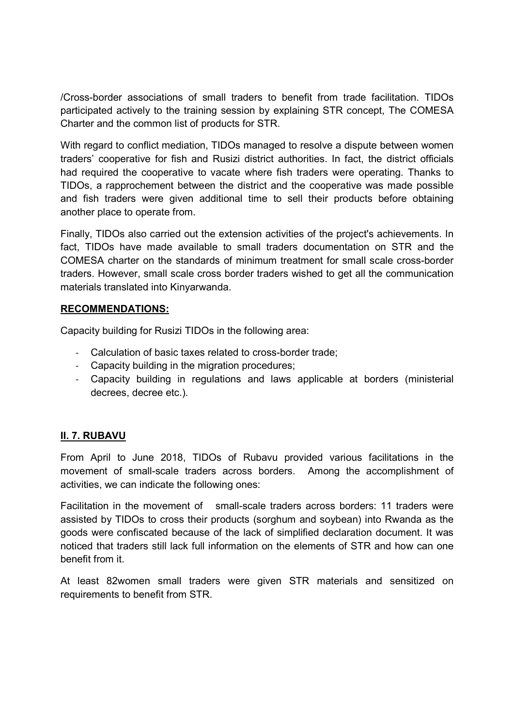/Cross-border associations of small traders to benefit from trade facilitation. TIDOs participated actively to the training session by explaining STR concept, The COMESA Charter and the common list of products for STR.

With regard to conflict mediation, TIDOs managed to resolve a dispute between women traders' cooperative for fish and Rusizi district authorities. In fact, the district officials had required the cooperative to vacate where fish traders were operating. Thanks to TIDOs, a rapprochement between the district and the cooperative was made possible and fish traders were given additional time to sell their products before obtaining another place to operate from.

Finally, TIDOs also carried out the extension activities of the project's achievements. In fact, TIDOs have made available to small traders documentation on STR and the COMESA charter on the standards of minimum treatment for small scale cross-border traders. However, small scale cross border traders wished to get all the communication materials translated into Kinyarwanda.

#### RECOMMENDATIONS:

Capacity building for Rusizi TIDOs in the following area:

- Calculation of basic taxes related to cross-border trade;
- Capacity building in the migration procedures;
- Capacity building in regulations and laws applicable at borders (ministerial decrees, decree etc.).

# II. 7. RUBAVU

From April to June 2018, TIDOs of Rubavu provided various facilitations in the movement of small-scale traders across borders. Among the accomplishment of activities, we can indicate the following ones:

Facilitation in the movement of small-scale traders across borders: 11 traders were assisted by TIDOs to cross their products (sorghum and soybean) into Rwanda as the goods were confiscated because of the lack of simplified declaration document. It was noticed that traders still lack full information on the elements of STR and how can one benefit from it.

At least 82women small traders were given STR materials and sensitized on requirements to benefit from STR.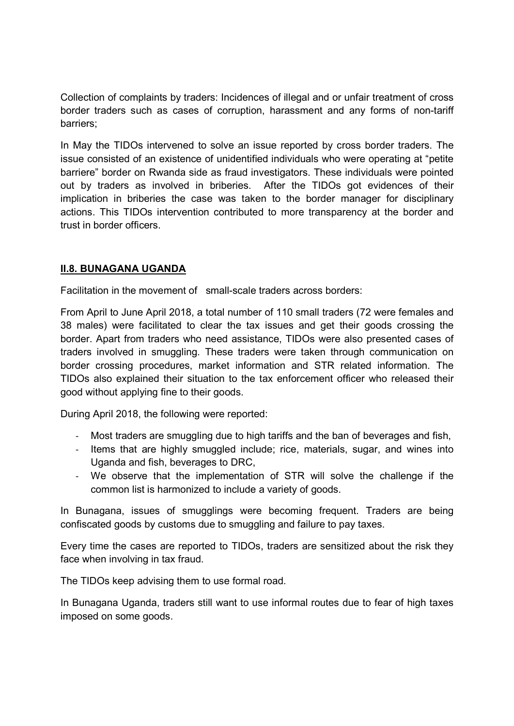Collection of complaints by traders: Incidences of illegal and or unfair treatment of cross border traders such as cases of corruption, harassment and any forms of non-tariff barriers;

In May the TIDOs intervened to solve an issue reported by cross border traders. The issue consisted of an existence of unidentified individuals who were operating at "petite barriere" border on Rwanda side as fraud investigators. These individuals were pointed out by traders as involved in briberies. After the TIDOs got evidences of their implication in briberies the case was taken to the border manager for disciplinary actions. This TIDOs intervention contributed to more transparency at the border and trust in border officers.

# II.8. BUNAGANA UGANDA

Facilitation in the movement of small-scale traders across borders:

From April to June April 2018, a total number of 110 small traders (72 were females and 38 males) were facilitated to clear the tax issues and get their goods crossing the border. Apart from traders who need assistance, TIDOs were also presented cases of traders involved in smuggling. These traders were taken through communication on border crossing procedures, market information and STR related information. The TIDOs also explained their situation to the tax enforcement officer who released their good without applying fine to their goods.

During April 2018, the following were reported:

- Most traders are smuggling due to high tariffs and the ban of beverages and fish,
- Items that are highly smuggled include; rice, materials, sugar, and wines into Uganda and fish, beverages to DRC,
- We observe that the implementation of STR will solve the challenge if the common list is harmonized to include a variety of goods.

In Bunagana, issues of smugglings were becoming frequent. Traders are being confiscated goods by customs due to smuggling and failure to pay taxes.

Every time the cases are reported to TIDOs, traders are sensitized about the risk they face when involving in tax fraud.

The TIDOs keep advising them to use formal road.

In Bunagana Uganda, traders still want to use informal routes due to fear of high taxes imposed on some goods.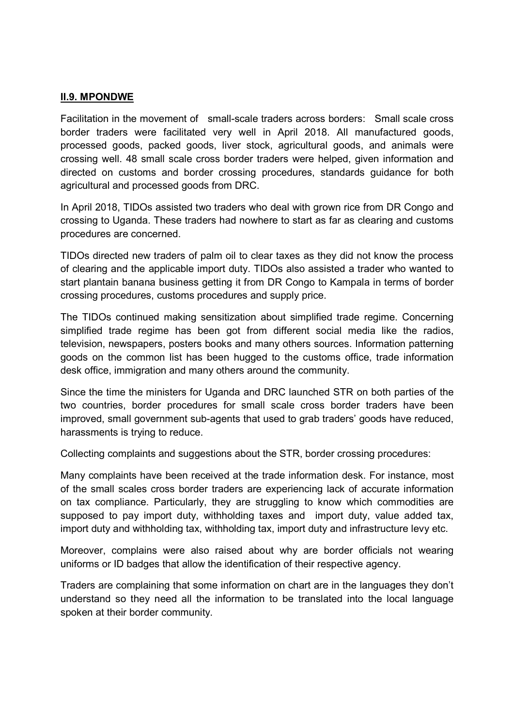#### II.9. MPONDWE

Facilitation in the movement of small-scale traders across borders: Small scale cross border traders were facilitated very well in April 2018. All manufactured goods, processed goods, packed goods, liver stock, agricultural goods, and animals were crossing well. 48 small scale cross border traders were helped, given information and directed on customs and border crossing procedures, standards guidance for both agricultural and processed goods from DRC.

In April 2018, TIDOs assisted two traders who deal with grown rice from DR Congo and crossing to Uganda. These traders had nowhere to start as far as clearing and customs procedures are concerned.

TIDOs directed new traders of palm oil to clear taxes as they did not know the process of clearing and the applicable import duty. TIDOs also assisted a trader who wanted to start plantain banana business getting it from DR Congo to Kampala in terms of border crossing procedures, customs procedures and supply price.

The TIDOs continued making sensitization about simplified trade regime. Concerning simplified trade regime has been got from different social media like the radios, television, newspapers, posters books and many others sources. Information patterning goods on the common list has been hugged to the customs office, trade information desk office, immigration and many others around the community.

Since the time the ministers for Uganda and DRC launched STR on both parties of the two countries, border procedures for small scale cross border traders have been improved, small government sub-agents that used to grab traders' goods have reduced, harassments is trying to reduce.

Collecting complaints and suggestions about the STR, border crossing procedures:

Many complaints have been received at the trade information desk. For instance, most of the small scales cross border traders are experiencing lack of accurate information on tax compliance. Particularly, they are struggling to know which commodities are supposed to pay import duty, withholding taxes and import duty, value added tax, import duty and withholding tax, withholding tax, import duty and infrastructure levy etc.

Moreover, complains were also raised about why are border officials not wearing uniforms or ID badges that allow the identification of their respective agency.

Traders are complaining that some information on chart are in the languages they don't understand so they need all the information to be translated into the local language spoken at their border community.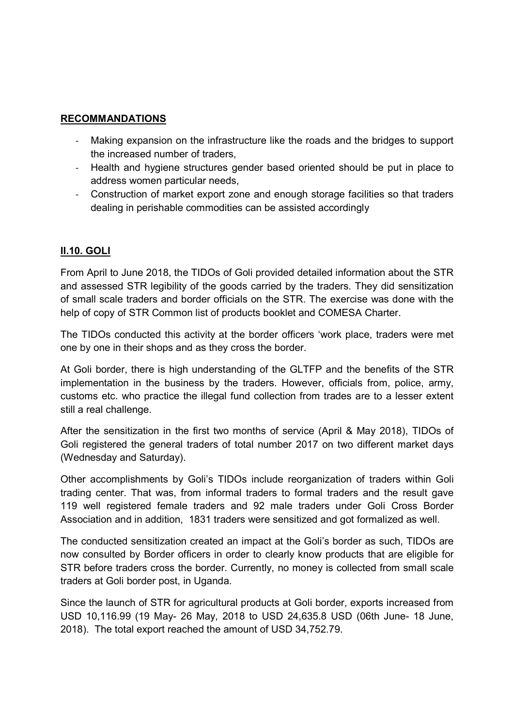#### RECOMMANDATIONS

- Making expansion on the infrastructure like the roads and the bridges to support the increased number of traders,
- Health and hygiene structures gender based oriented should be put in place to address women particular needs,
- Construction of market export zone and enough storage facilities so that traders dealing in perishable commodities can be assisted accordingly

#### II.10. GOLI

From April to June 2018, the TIDOs of Goli provided detailed information about the STR and assessed STR legibility of the goods carried by the traders. They did sensitization of small scale traders and border officials on the STR. The exercise was done with the help of copy of STR Common list of products booklet and COMESA Charter.

The TIDOs conducted this activity at the border officers 'work place, traders were met one by one in their shops and as they cross the border.

At Goli border, there is high understanding of the GLTFP and the benefits of the STR implementation in the business by the traders. However, officials from, police, army, customs etc. who practice the illegal fund collection from trades are to a lesser extent still a real challenge.

After the sensitization in the first two months of service (April & May 2018), TIDOs of Goli registered the general traders of total number 2017 on two different market days (Wednesday and Saturday).

Other accomplishments by Goli's TIDOs include reorganization of traders within Goli trading center. That was, from informal traders to formal traders and the result gave 119 well registered female traders and 92 male traders under Goli Cross Border Association and in addition, 1831 traders were sensitized and got formalized as well.

The conducted sensitization created an impact at the Goli's border as such, TIDOs are now consulted by Border officers in order to clearly know products that are eligible for STR before traders cross the border. Currently, no money is collected from small scale traders at Goli border post, in Uganda.

Since the launch of STR for agricultural products at Goli border, exports increased from USD 10,116.99 (19 May- 26 May, 2018 to USD 24,635.8 USD (06th June- 18 June, 2018). The total export reached the amount of USD 34,752.79.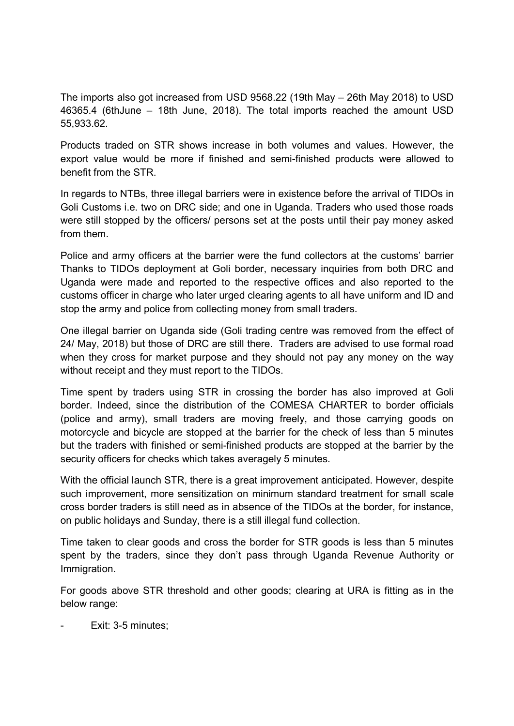The imports also got increased from USD 9568.22 (19th May – 26th May 2018) to USD 46365.4 (6thJune – 18th June, 2018). The total imports reached the amount USD 55,933.62.

Products traded on STR shows increase in both volumes and values. However, the export value would be more if finished and semi-finished products were allowed to benefit from the STR.

In regards to NTBs, three illegal barriers were in existence before the arrival of TIDOs in Goli Customs i.e. two on DRC side; and one in Uganda. Traders who used those roads were still stopped by the officers/ persons set at the posts until their pay money asked from them.

Police and army officers at the barrier were the fund collectors at the customs' barrier Thanks to TIDOs deployment at Goli border, necessary inquiries from both DRC and Uganda were made and reported to the respective offices and also reported to the customs officer in charge who later urged clearing agents to all have uniform and ID and stop the army and police from collecting money from small traders.

One illegal barrier on Uganda side (Goli trading centre was removed from the effect of 24/ May, 2018) but those of DRC are still there. Traders are advised to use formal road when they cross for market purpose and they should not pay any money on the way without receipt and they must report to the TIDOs.

Time spent by traders using STR in crossing the border has also improved at Goli border. Indeed, since the distribution of the COMESA CHARTER to border officials (police and army), small traders are moving freely, and those carrying goods on motorcycle and bicycle are stopped at the barrier for the check of less than 5 minutes but the traders with finished or semi-finished products are stopped at the barrier by the security officers for checks which takes averagely 5 minutes.

With the official launch STR, there is a great improvement anticipated. However, despite such improvement, more sensitization on minimum standard treatment for small scale cross border traders is still need as in absence of the TIDOs at the border, for instance, on public holidays and Sunday, there is a still illegal fund collection.

Time taken to clear goods and cross the border for STR goods is less than 5 minutes spent by the traders, since they don't pass through Uganda Revenue Authority or Immigration.

For goods above STR threshold and other goods; clearing at URA is fitting as in the below range:

Exit: 3-5 minutes;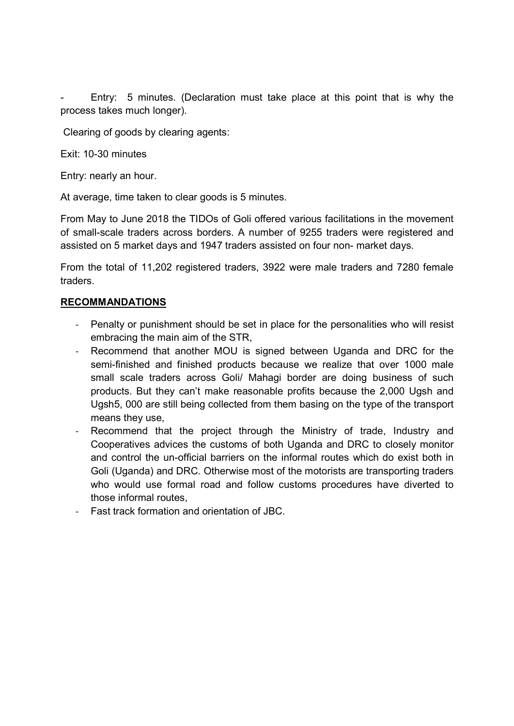Entry: 5 minutes. (Declaration must take place at this point that is why the process takes much longer).

Clearing of goods by clearing agents:

Exit: 10-30 minutes

Entry: nearly an hour.

At average, time taken to clear goods is 5 minutes.

From May to June 2018 the TIDOs of Goli offered various facilitations in the movement of small-scale traders across borders. A number of 9255 traders were registered and assisted on 5 market days and 1947 traders assisted on four non- market days.

From the total of 11,202 registered traders, 3922 were male traders and 7280 female traders.

#### RECOMMANDATIONS

- Penalty or punishment should be set in place for the personalities who will resist embracing the main aim of the STR,
- Recommend that another MOU is signed between Uganda and DRC for the semi-finished and finished products because we realize that over 1000 male small scale traders across Goli/ Mahagi border are doing business of such products. But they can't make reasonable profits because the 2,000 Ugsh and Ugsh5, 000 are still being collected from them basing on the type of the transport means they use,
- Recommend that the project through the Ministry of trade, Industry and Cooperatives advices the customs of both Uganda and DRC to closely monitor and control the un-official barriers on the informal routes which do exist both in Goli (Uganda) and DRC. Otherwise most of the motorists are transporting traders who would use formal road and follow customs procedures have diverted to those informal routes,
- Fast track formation and orientation of JBC.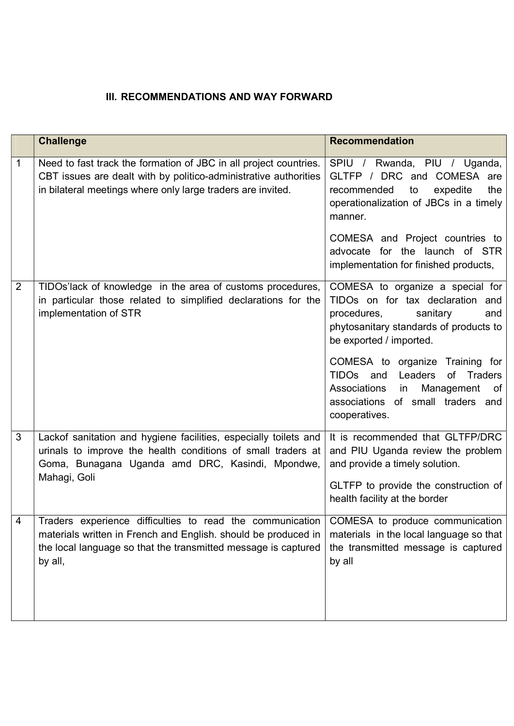# **III. RECOMMENDATIONS AND WAY FORWARD**

|                | <b>Challenge</b>                                                                                                                                                                                         | <b>Recommendation</b>                                                                                                                                                       |
|----------------|----------------------------------------------------------------------------------------------------------------------------------------------------------------------------------------------------------|-----------------------------------------------------------------------------------------------------------------------------------------------------------------------------|
| 1              | Need to fast track the formation of JBC in all project countries.<br>CBT issues are dealt with by politico-administrative authorities<br>in bilateral meetings where only large traders are invited.     | SPIU / Rwanda, PIU / Uganda,<br>GLTFP / DRC and COMESA are<br>recommended<br>expedite<br>to<br>the<br>operationalization of JBCs in a timely<br>manner.                     |
|                |                                                                                                                                                                                                          | COMESA and Project countries to<br>advocate for the launch of STR<br>implementation for finished products,                                                                  |
| $\overline{2}$ | TIDOs'lack of knowledge in the area of customs procedures,<br>in particular those related to simplified declarations for the<br>implementation of STR                                                    | COMESA to organize a special for<br>TIDOs on for tax declaration and<br>procedures,<br>sanitary<br>and<br>phytosanitary standards of products to<br>be exported / imported. |
|                |                                                                                                                                                                                                          | COMESA to organize Training for<br>TIDOs and Leaders<br>of Traders<br>Associations<br>Management<br>in<br>of<br>associations of small traders and<br>cooperatives.          |
| 3              | Lackof sanitation and hygiene facilities, especially toilets and<br>urinals to improve the health conditions of small traders at<br>Goma, Bunagana Uganda amd DRC, Kasindi, Mpondwe,<br>Mahagi, Goli     | It is recommended that GLTFP/DRC<br>and PIU Uganda review the problem<br>and provide a timely solution.                                                                     |
|                |                                                                                                                                                                                                          | GLTFP to provide the construction of<br>health facility at the border                                                                                                       |
| 4              | Traders experience difficulties to read the communication<br>materials written in French and English. should be produced in<br>the local language so that the transmitted message is captured<br>by all, | COMESA to produce communication<br>materials in the local language so that<br>the transmitted message is captured<br>by all                                                 |